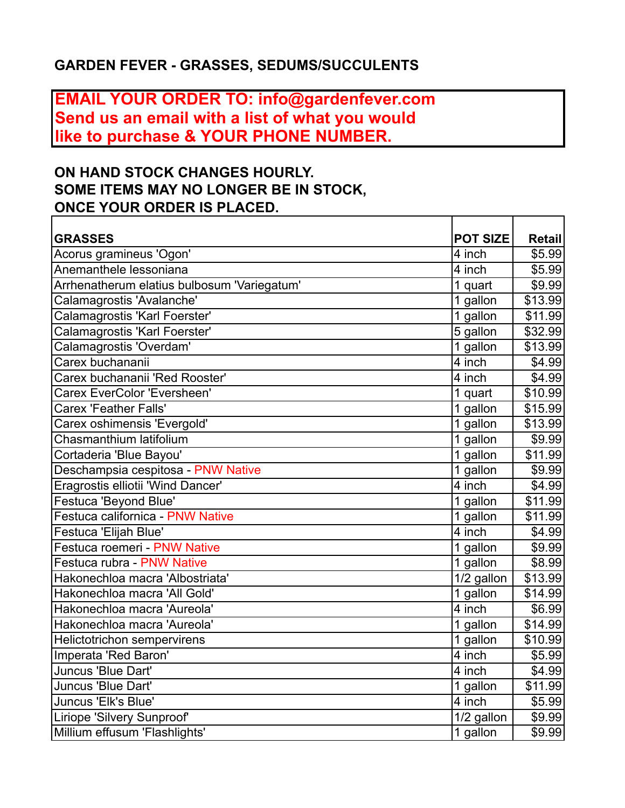## **GARDEN FEVER - GRASSES, SEDUMS/SUCCULENTS**

## **EMAIL YOUR ORDER TO: info@gardenfever.com Send us an email with a list of what you would like to purchase & YOUR PHONE NUMBER.**

## **ON HAND STOCK CHANGES HOURLY. SOME ITEMS MAY NO LONGER BE IN STOCK, ONCE YOUR ORDER IS PLACED.**

| <b>GRASSES</b>                              | <b>POT SIZE</b>         | <b>Retail</b> |
|---------------------------------------------|-------------------------|---------------|
| Acorus gramineus 'Ogon'                     | 4 inch                  | \$5.99        |
| Anemanthele lessoniana                      | 4 inch                  | \$5.99        |
| Arrhenatherum elatius bulbosum 'Variegatum' | 1 quart                 | \$9.99        |
| Calamagrostis 'Avalanche'                   | 1 gallon                | \$13.99       |
| Calamagrostis 'Karl Foerster'               | 1 gallon                | \$11.99       |
| Calamagrostis 'Karl Foerster'               | 5 gallon                | \$32.99       |
| Calamagrostis 'Overdam'                     | 1 gallon                | \$13.99       |
| Carex buchananii                            | $\overline{4}$ inch     | \$4.99        |
| Carex buchananii 'Red Rooster'              | 4 inch                  | \$4.99        |
| <b>Carex EverColor 'Eversheen'</b>          | 1 quart                 | \$10.99       |
| <b>Carex 'Feather Falls'</b>                | 1 gallon                | \$15.99       |
| Carex oshimensis 'Evergold'                 | 1 gallon                | \$13.99       |
| Chasmanthium latifolium                     | 1 gallon                | \$9.99        |
| Cortaderia 'Blue Bayou'                     | 1 gallon                | \$11.99       |
| Deschampsia cespitosa - PNW Native          | 1 gallon                | \$9.99        |
| Eragrostis elliotii 'Wind Dancer'           | 4 inch                  | \$4.99        |
| <b>Festuca 'Beyond Blue'</b>                | 1 gallon                | \$11.99       |
| Festuca californica - PNW Native            | 1 gallon                | \$11.99       |
| Festuca 'Elijah Blue'                       | 4 inch                  | \$4.99        |
| Festuca roemeri - PNW Native                | 1 gallon                | \$9.99        |
| Festuca rubra - PNW Native                  | 1 gallon                | \$8.99        |
| Hakonechloa macra 'Albostriata'             | 1/2 gallon              | \$13.99       |
| Hakonechloa macra 'All Gold'                | 1 gallon                | \$14.99       |
| Hakonechloa macra 'Aureola'                 | $\overline{4}$ inch     | \$6.99        |
| Hakonechloa macra 'Aureola'                 | 1 gallon                | \$14.99       |
| <b>Helictotrichon sempervirens</b>          | 1 gallon                | \$10.99       |
| Imperata 'Red Baron'                        | $\overline{4}$ inch     | \$5.99        |
| Juncus 'Blue Dart'                          | 4 inch                  | \$4.99        |
| Juncus 'Blue Dart'                          | 1 gallon                | \$11.99       |
| Juncus 'Elk's Blue'                         | 4 inch                  | \$5.99        |
| Liriope 'Silvery Sunproof'                  | $\overline{1}/2$ gallon | \$9.99        |
| Millium effusum 'Flashlights'               | 1 gallon                | \$9.99        |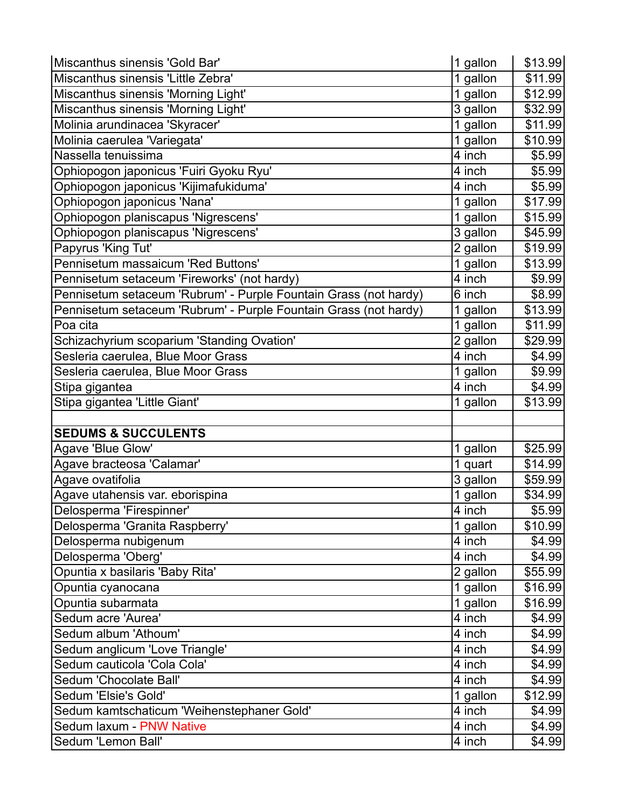| Miscanthus sinensis 'Gold Bar'                                   | 1 gallon | \$13.99 |
|------------------------------------------------------------------|----------|---------|
| Miscanthus sinensis 'Little Zebra'                               | 1 gallon | \$11.99 |
| Miscanthus sinensis 'Morning Light'                              | 1 gallon | \$12.99 |
| Miscanthus sinensis 'Morning Light'                              | 3 gallon | \$32.99 |
| Molinia arundinacea 'Skyracer'                                   | 1 gallon | \$11.99 |
| Molinia caerulea 'Variegata'                                     | 1 gallon | \$10.99 |
| Nassella tenuissima                                              | 4 inch   | \$5.99  |
| Ophiopogon japonicus 'Fuiri Gyoku Ryu'                           | 4 inch   | \$5.99  |
| Ophiopogon japonicus 'Kijimafukiduma'                            | 4 inch   | \$5.99  |
| Ophiopogon japonicus 'Nana'                                      | 1 gallon | \$17.99 |
| Ophiopogon planiscapus 'Nigrescens'                              | 1 gallon | \$15.99 |
| Ophiopogon planiscapus 'Nigrescens'                              | 3 gallon | \$45.99 |
| Papyrus 'King Tut'                                               | 2 gallon | \$19.99 |
| Pennisetum massaicum 'Red Buttons'                               | 1 gallon | \$13.99 |
| Pennisetum setaceum 'Fireworks' (not hardy)                      | 4 inch   | \$9.99  |
| Pennisetum setaceum 'Rubrum' - Purple Fountain Grass (not hardy) | 6 inch   | \$8.99  |
| Pennisetum setaceum 'Rubrum' - Purple Fountain Grass (not hardy) | 1 gallon | \$13.99 |
| Poa cita                                                         | 1 gallon | \$11.99 |
| Schizachyrium scoparium 'Standing Ovation'                       | 2 gallon | \$29.99 |
| Sesleria caerulea, Blue Moor Grass                               | 4 inch   | \$4.99  |
| Sesleria caerulea, Blue Moor Grass                               | 1 gallon | \$9.99  |
| Stipa gigantea                                                   | 4 inch   | \$4.99  |
| Stipa gigantea 'Little Giant'                                    | 1 gallon | \$13.99 |
|                                                                  |          |         |
| <b>SEDUMS &amp; SUCCULENTS</b>                                   |          |         |
| Agave 'Blue Glow'                                                | 1 gallon | \$25.99 |
| Agave bracteosa 'Calamar'                                        | 1 quart  | \$14.99 |
| Agave ovatifolia                                                 | 3 gallon | \$59.99 |
| Agave utahensis var. eborispina                                  | 1 gallon | \$34.99 |
| Delosperma 'Firespinner'                                         | 4 inch   | \$5.99  |
| Delosperma 'Granita Raspberry'                                   | 1 gallon | \$10.99 |
| Delosperma nubigenum                                             | 4 inch   | \$4.99  |
| Delosperma 'Oberg'                                               | 4 inch   | \$4.99  |
| Opuntia x basilaris 'Baby Rita'                                  | 2 gallon | \$55.99 |
| Opuntia cyanocana                                                | 1 gallon | \$16.99 |
| Opuntia subarmata                                                | 1 gallon | \$16.99 |
| Sedum acre 'Aurea'                                               | 4 inch   | \$4.99  |
| Sedum album 'Athoum'                                             | 4 inch   | \$4.99  |
| Sedum anglicum 'Love Triangle'                                   | 4 inch   | \$4.99  |
| Sedum cauticola 'Cola Cola'                                      | 4 inch   | \$4.99  |
| Sedum 'Chocolate Ball'                                           | 4 inch   | \$4.99  |
| Sedum 'Elsie's Gold'                                             | 1 gallon | \$12.99 |
| Sedum kamtschaticum 'Weihenstephaner Gold'                       | 4 inch   | \$4.99  |
| Sedum laxum - PNW Native                                         | 4 inch   | \$4.99  |
| Sedum 'Lemon Ball'                                               | 4 inch   | \$4.99  |